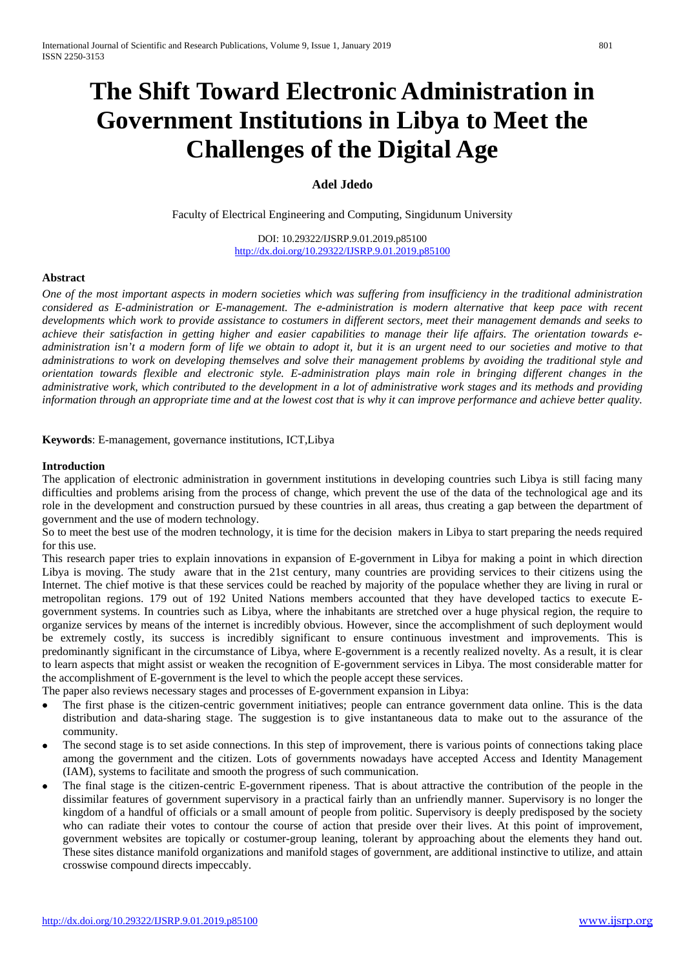# **The Shift Toward Electronic Administration in Government Institutions in Libya to Meet the Challenges of the Digital Age**

# **Adel Jdedo**

Faculty of Electrical Engineering and Computing, Singidunum University

DOI: 10.29322/IJSRP.9.01.2019.p85100 <http://dx.doi.org/10.29322/IJSRP.9.01.2019.p85100>

#### **Abstract**

*One of the most important aspects in modern societies which was suffering from insufficiency in the traditional administration considered as E-administration or E-management. The e-administration is modern alternative that keep pace with recent developments which work to provide assistance to costumers in different sectors, meet their management demands and seeks to achieve their satisfaction in getting higher and easier capabilities to manage their life affairs. The orientation towards eadministration isn't a modern form of life we obtain to adopt it, but it is an urgent need to our societies and motive to that administrations to work on developing themselves and solve their management problems by avoiding the traditional style and orientation towards flexible and electronic style. E-administration plays main role in bringing different changes in the administrative work, which contributed to the development in a lot of administrative work stages and its methods and providing information through an appropriate time and at the lowest cost that is why it can improve performance and achieve better quality.* 

**Keywords**: E-management, governance institutions, ICT,Libya

#### **Introduction**

The application of electronic administration in government institutions in developing countries such Libya is still facing many difficulties and problems arising from the process of change, which prevent the use of the data of the technological age and its role in the development and construction pursued by these countries in all areas, thus creating a gap between the department of government and the use of modern technology.

So to meet the best use of the modren technology, it is time for the decision makers in Libya to start preparing the needs required for this use.

This research paper tries to explain innovations in expansion of E-government in Libya for making a point in which direction Libya is moving. The study aware that in the 21st century, many countries are providing services to their citizens using the Internet. The chief motive is that these services could be reached by majority of the populace whether they are living in rural or metropolitan regions. 179 out of 192 United Nations members accounted that they have developed tactics to execute Egovernment systems. In countries such as Libya, where the inhabitants are stretched over a huge physical region, the require to organize services by means of the internet is incredibly obvious. However, since the accomplishment of such deployment would be extremely costly, its success is incredibly significant to ensure continuous investment and improvements. This is predominantly significant in the circumstance of Libya, where E-government is a recently realized novelty. As a result, it is clear to learn aspects that might assist or weaken the recognition of E-government services in Libya. The most considerable matter for the accomplishment of E-government is the level to which the people accept these services.

The paper also reviews necessary stages and processes of E-government expansion in Libya:

- The first phase is the citizen-centric government initiatives; people can entrance government data online. This is the data distribution and data-sharing stage. The suggestion is to give instantaneous data to make out to the assurance of the community.
- The second stage is to set aside connections. In this step of improvement, there is various points of connections taking place among the government and the citizen. Lots of governments nowadays have accepted Access and Identity Management (IAM), systems to facilitate and smooth the progress of such communication.
- The final stage is the citizen-centric E-government ripeness. That is about attractive the contribution of the people in the dissimilar features of government supervisory in a practical fairly than an unfriendly manner. Supervisory is no longer the kingdom of a handful of officials or a small amount of people from politic. Supervisory is deeply predisposed by the society who can radiate their votes to contour the course of action that preside over their lives. At this point of improvement, government websites are topically or costumer-group leaning, tolerant by approaching about the elements they hand out. These sites distance manifold organizations and manifold stages of government, are additional instinctive to utilize, and attain crosswise compound directs impeccably.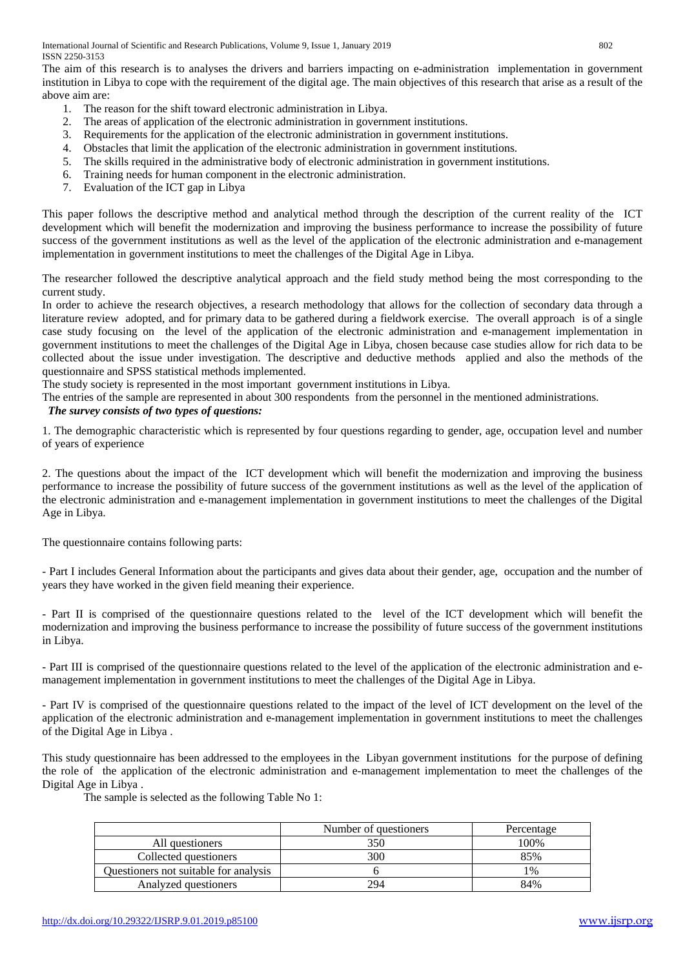The aim of this research is to analyses the drivers and barriers impacting on e-administration implementation in government institution in Libya to cope with the requirement of the digital age. The main objectives of this research that arise as a result of the above aim are:

- 1. The reason for the shift toward electronic administration in Libya.
- 2. The areas of application of the electronic administration in government institutions.
- 3. Requirements for the application of the electronic administration in government institutions.
- 4. Obstacles that limit the application of the electronic administration in government institutions.
- 5. The skills required in the administrative body of electronic administration in government institutions.
- 6. Training needs for human component in the electronic administration.
- 7. Evaluation of the ICT gap in Libya

This paper follows the descriptive method and analytical method through the description of the current reality of the ICT development which will benefit the modernization and improving the business performance to increase the possibility of future success of the government institutions as well as the level of the application of the electronic administration and e-management implementation in government institutions to meet the challenges of the Digital Age in Libya.

The researcher followed the descriptive analytical approach and the field study method being the most corresponding to the current study.

In order to achieve the research objectives, a research methodology that allows for the collection of secondary data through a literature review adopted, and for primary data to be gathered during a fieldwork exercise. The overall approach is of a single case study focusing on the level of the application of the electronic administration and e-management implementation in government institutions to meet the challenges of the Digital Age in Libya, chosen because case studies allow for rich data to be collected about the issue under investigation. The descriptive and deductive methods applied and also the methods of the questionnaire and SPSS statistical methods implemented.

The study society is represented in the most important government institutions in Libya.

The entries of the sample are represented in about 300 respondents from the personnel in the mentioned administrations.

# *The survey consists of two types of questions:*

1. The demographic characteristic which is represented by four questions regarding to gender, age, occupation level and number of years of experience

2. The questions about the impact of the ICT development which will benefit the modernization and improving the business performance to increase the possibility of future success of the government institutions as well as the level of the application of the electronic administration and e-management implementation in government institutions to meet the challenges of the Digital Age in Libya.

The questionnaire contains following parts:

- Part I includes General Information about the participants and gives data about their gender, age, occupation and the number of years they have worked in the given field meaning their experience.

- Part II is comprised of the questionnaire questions related to the level of the ICT development which will benefit the modernization and improving the business performance to increase the possibility of future success of the government institutions in Libya.

- Part III is comprised of the questionnaire questions related to the level of the application of the electronic administration and emanagement implementation in government institutions to meet the challenges of the Digital Age in Libya.

- Part IV is comprised of the questionnaire questions related to the impact of the level of ICT development on the level of the application of the electronic administration and e-management implementation in government institutions to meet the challenges of the Digital Age in Libya .

This study questionnaire has been addressed to the employees in the Libyan government institutions for the purpose of defining the role of the application of the electronic administration and e-management implementation to meet the challenges of the Digital Age in Libya .

The sample is selected as the following Table No 1:

|                                       | Number of questioners | Percentage |
|---------------------------------------|-----------------------|------------|
| All questioners                       | 350                   | 100%       |
| Collected questioners                 | 300                   | 85%        |
| Questioners not suitable for analysis |                       | 1%         |
| Analyzed questioners                  | 294                   | 84%        |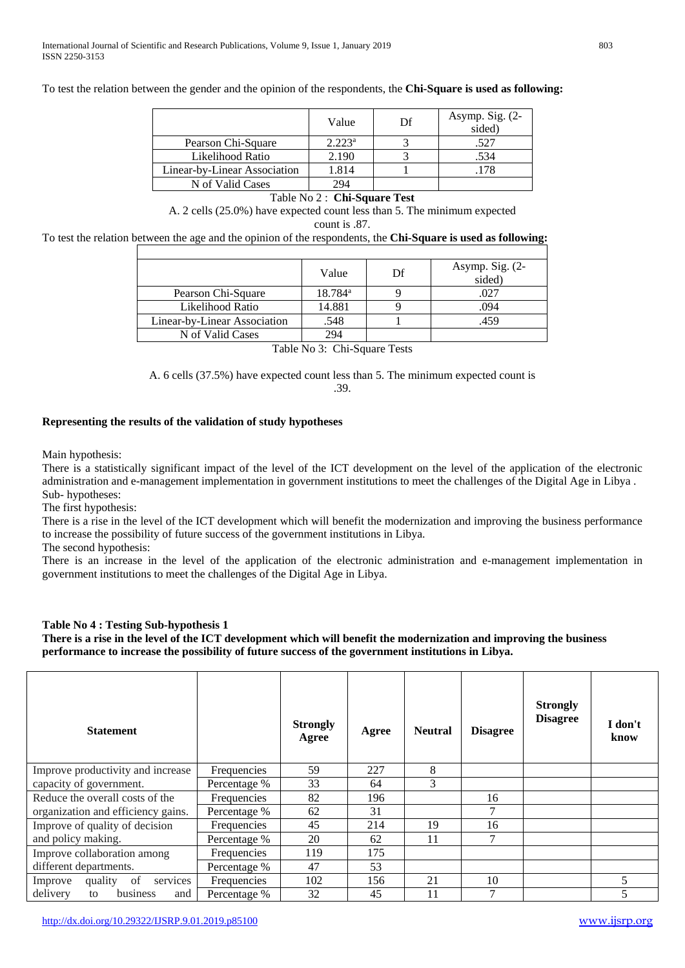To test the relation between the gender and the opinion of the respondents, the **Chi-Square is used as following:**

|                              | Value     | Df | Asymp. Sig. $(2-$<br>sided) |
|------------------------------|-----------|----|-----------------------------|
| Pearson Chi-Square           | $2.223^a$ |    | .527                        |
| Likelihood Ratio             | 2.190     |    | .534                        |
| Linear-by-Linear Association | .814      |    |                             |
| N of Valid Cases             | 294       |    |                             |

# Table No 2 : **Chi-Square Test**

A. 2 cells (25.0%) have expected count less than 5. The minimum expected count is .87.

To test the relation between the age and the opinion of the respondents, the **Chi-Square is used as following:**

|                              | Value            | Df | Asymp. Sig. $(2-$<br>sided) |
|------------------------------|------------------|----|-----------------------------|
| Pearson Chi-Square           | $18.784^{\rm a}$ |    | .027                        |
| Likelihood Ratio             | 14.881           |    | .094                        |
| Linear-by-Linear Association | .548             |    | .459                        |
| N of Valid Cases             | 294              |    |                             |

Table No 3: Chi-Square Tests

A. 6 cells (37.5%) have expected count less than 5. The minimum expected count is .39.

#### **Representing the results of the validation of study hypotheses**

Main hypothesis:

There is a statistically significant impact of the level of the ICT development on the level of the application of the electronic administration and e-management implementation in government institutions to meet the challenges of the Digital Age in Libya . Sub- hypotheses:

The first hypothesis:

There is a rise in the level of the ICT development which will benefit the modernization and improving the business performance to increase the possibility of future success of the government institutions in Libya.

The second hypothesis:

There is an increase in the level of the application of the electronic administration and e-management implementation in government institutions to meet the challenges of the Digital Age in Libya.

## **Table No 4 : Testing Sub-hypothesis 1**

**There is a rise in the level of the ICT development which will benefit the modernization and improving the business performance to increase the possibility of future success of the government institutions in Libya.**

| <b>Statement</b>                     |              | <b>Strongly</b><br>Agree | Agree | <b>Neutral</b> | <b>Disagree</b> | <b>Strongly</b><br><b>Disagree</b> | I don't<br>know |
|--------------------------------------|--------------|--------------------------|-------|----------------|-----------------|------------------------------------|-----------------|
| Improve productivity and increase    | Frequencies  | 59                       | 227   | 8              |                 |                                    |                 |
| capacity of government.              | Percentage % | 33                       | 64    | 3              |                 |                                    |                 |
| Reduce the overall costs of the      | Frequencies  | 82                       | 196   |                | 16              |                                    |                 |
| organization and efficiency gains.   | Percentage % | 62                       | 31    |                |                 |                                    |                 |
| Improve of quality of decision       | Frequencies  | 45                       | 214   | 19             | 16              |                                    |                 |
| and policy making.                   | Percentage % | 20                       | 62    | 11             | 7               |                                    |                 |
| Improve collaboration among          | Frequencies  | 119                      | 175   |                |                 |                                    |                 |
| different departments.               | Percentage % | 47                       | 53    |                |                 |                                    |                 |
| quality<br>of<br>Improve<br>services | Frequencies  | 102                      | 156   | 21             | 10              |                                    |                 |
| delivery<br>business<br>and<br>to    | Percentage % | 32                       | 45    | 11             | 7               |                                    |                 |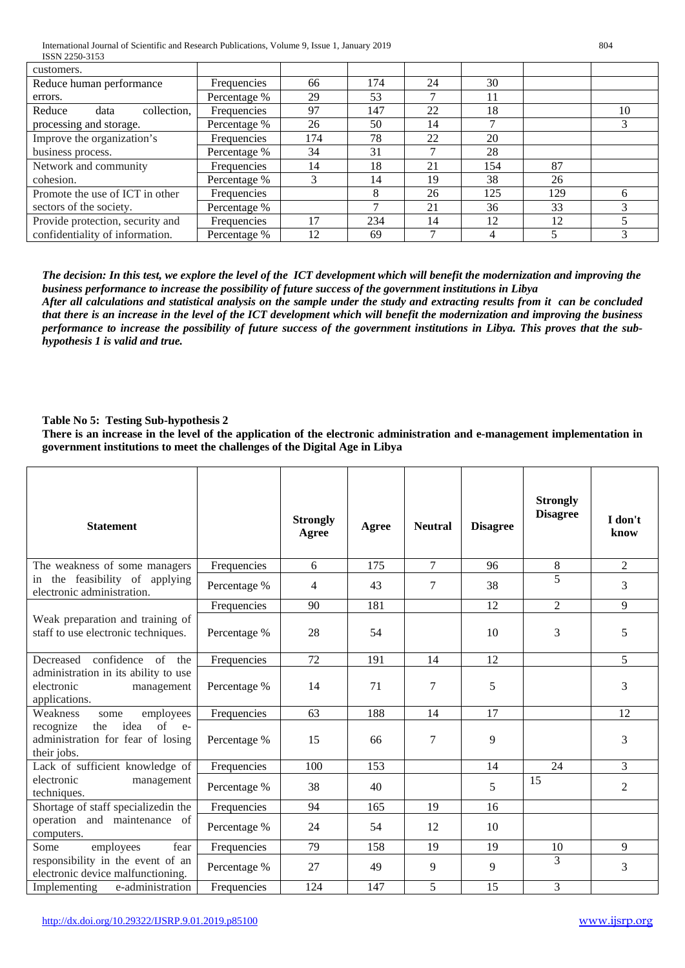| customers.                       |                    |     |     |    |     |     |    |
|----------------------------------|--------------------|-----|-----|----|-----|-----|----|
| Reduce human performance         | <b>Frequencies</b> | 66  | 174 | 24 | 30  |     |    |
| errors.                          | Percentage %       | 29  | 53  |    | 11  |     |    |
| collection,<br>Reduce<br>data    | Frequencies        | 97  | 147 | 22 | 18  |     | 10 |
| processing and storage.          | Percentage %       | 26  | 50  | 14 |     |     |    |
| Improve the organization's       | Frequencies        | 174 | 78  | 22 | 20  |     |    |
| business process.                | Percentage %       | 34  | 31  |    | 28  |     |    |
| Network and community            | Frequencies        | 14  | 18  | 21 | 154 | 87  |    |
| cohesion.                        | Percentage %       |     | 14  | 19 | 38  | 26  |    |
| Promote the use of ICT in other  | Frequencies        |     | 8   | 26 | 125 | 129 | h  |
| sectors of the society.          | Percentage %       |     |     | 21 | 36  | 33  |    |
| Provide protection, security and | Frequencies        | 17  | 234 | 14 | 12  | 12  |    |
| confidentiality of information.  | Percentage %       | 12  | 69  |    |     |     |    |

*The decision: In this test, we explore the level of the ICT development which will benefit the modernization and improving the business performance to increase the possibility of future success of the government institutions in Libya*

*After all calculations and statistical analysis on the sample under the study and extracting results from it can be concluded that there is an increase in the level of the ICT development which will benefit the modernization and improving the business performance to increase the possibility of future success of the government institutions in Libya. This proves that the subhypothesis 1 is valid and true.*

# **Table No 5: Testing Sub-hypothesis 2**

**There is an increase in the level of the application of the electronic administration and e-management implementation in government institutions to meet the challenges of the Digital Age in Libya**

| <b>Statement</b>                                                                      |              | <b>Strongly</b><br>Agree | Agree | <b>Neutral</b> | <b>Disagree</b> | <b>Strongly</b><br><b>Disagree</b> | I don't<br>know |
|---------------------------------------------------------------------------------------|--------------|--------------------------|-------|----------------|-----------------|------------------------------------|-----------------|
| The weakness of some managers                                                         | Frequencies  | 6                        | 175   | $\overline{7}$ | 96              | 8                                  | $\overline{2}$  |
| in the feasibility of applying<br>electronic administration.                          | Percentage % | 4                        | 43    | 7              | 38              | 5                                  | 3               |
|                                                                                       | Frequencies  | 90                       | 181   |                | 12              | 2                                  | 9               |
| Weak preparation and training of<br>staff to use electronic techniques.               | Percentage % | 28                       | 54    |                | 10              | 3                                  | 5               |
| confidence of the<br>Decreased                                                        | Frequencies  | 72                       | 191   | 14             | 12              |                                    | 5               |
| administration in its ability to use<br>electronic<br>management<br>applications.     | Percentage % | 14                       | 71    | 7              | 5               |                                    | 3               |
| Weakness<br>employees<br>some                                                         | Frequencies  | 63                       | 188   | 14             | 17              |                                    | 12              |
| idea<br>of e-<br>recognize<br>the<br>administration for fear of losing<br>their jobs. | Percentage % | 15                       | 66    | 7              | 9               |                                    | 3               |
| Lack of sufficient knowledge of                                                       | Frequencies  | 100                      | 153   |                | 14              | 24                                 | 3               |
| electronic<br>management<br>techniques.                                               | Percentage % | 38                       | 40    |                | 5               | 15                                 | $\overline{2}$  |
| Shortage of staff specializedin the                                                   | Frequencies  | 94                       | 165   | 19             | 16              |                                    |                 |
| operation and maintenance of<br>computers.                                            | Percentage % | 24                       | 54    | 12             | 10              |                                    |                 |
| Some<br>employees<br>fear                                                             | Frequencies  | 79                       | 158   | 19             | 19              | 10                                 | 9               |
| responsibility in the event of an<br>electronic device malfunctioning.                | Percentage % | 27                       | 49    | 9              | 9               | 3                                  | 3               |
| e-administration<br>Implementing                                                      | Frequencies  | 124                      | 147   | 5              | 15              | 3                                  |                 |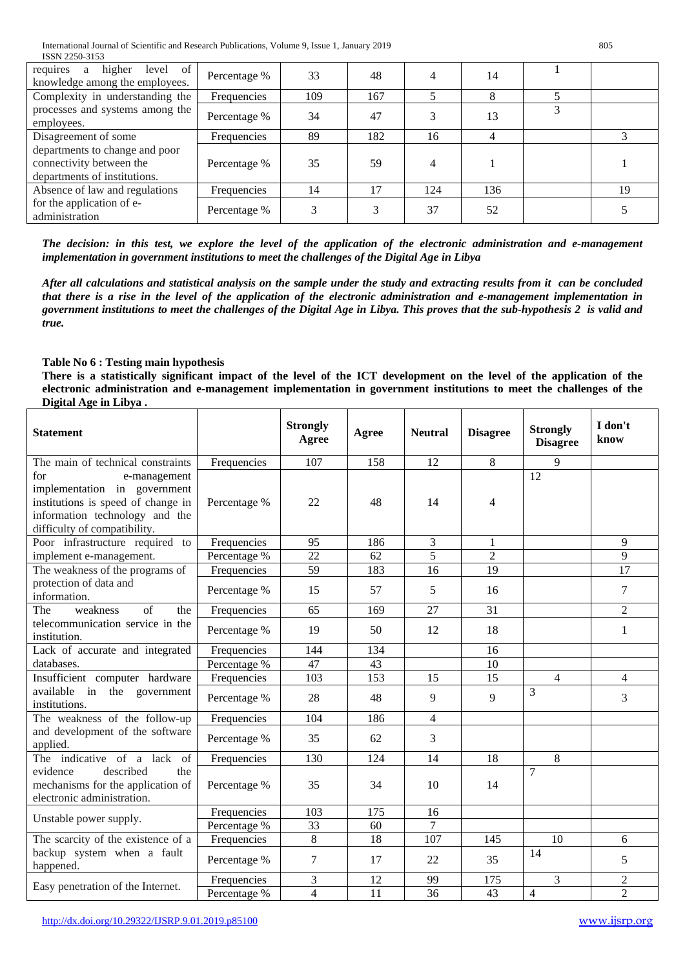| level of<br>higher<br>requires<br>a<br>knowledge among the employees.                      | Percentage % | 33  | 48  |     | 14  |    |
|--------------------------------------------------------------------------------------------|--------------|-----|-----|-----|-----|----|
| Complexity in understanding the                                                            | Frequencies  | 109 | 167 |     |     |    |
| processes and systems among the<br>employees.                                              | Percentage % | 34  | 47  |     | 13  |    |
| Disagreement of some                                                                       | Frequencies  | 89  | 182 | 16  |     |    |
| departments to change and poor<br>connectivity between the<br>departments of institutions. | Percentage % | 35  | 59  |     |     |    |
| Absence of law and regulations                                                             | Frequencies  | 14  | 17  | 124 | 136 | 19 |
| for the application of e-<br>administration                                                | Percentage % |     |     | 37  | 52  |    |

*The decision: in this test, we explore the level of the application of the electronic administration and e-management implementation in government institutions to meet the challenges of the Digital Age in Libya*

*After all calculations and statistical analysis on the sample under the study and extracting results from it can be concluded that there is a rise in the level of the application of the electronic administration and e-management implementation in government institutions to meet the challenges of the Digital Age in Libya. This proves that the sub-hypothesis 2 is valid and true.*

# **Table No 6 : Testing main hypothesis**

**There is a statistically significant impact of the level of the ICT development on the level of the application of the electronic administration and e-management implementation in government institutions to meet the challenges of the Digital Age in Libya .**

| <b>Statement</b>                                                                                                                                            |              | <b>Strongly</b><br>Agree | Agree | <b>Neutral</b>   | <b>Disagree</b> | <b>Strongly</b><br><b>Disagree</b> | I don't<br>know |
|-------------------------------------------------------------------------------------------------------------------------------------------------------------|--------------|--------------------------|-------|------------------|-----------------|------------------------------------|-----------------|
| The main of technical constraints                                                                                                                           | Frequencies  | 107                      | 158   | 12               | 8               | $\mathbf Q$                        |                 |
| for<br>e-management<br>implementation in government<br>institutions is speed of change in<br>information technology and the<br>difficulty of compatibility. | Percentage % | 22                       | 48    | 14               | 4               | 12                                 |                 |
| Poor infrastructure required to                                                                                                                             | Frequencies  | 95                       | 186   | 3                | 1               |                                    | 9               |
| implement e-management.                                                                                                                                     | Percentage % | 22                       | 62    | 5                | $\overline{2}$  |                                    | 9               |
| The weakness of the programs of                                                                                                                             | Frequencies  | 59                       | 183   | 16               | 19              |                                    | 17              |
| protection of data and<br>information.                                                                                                                      | Percentage % | 15                       | 57    | 5                | 16              |                                    | 7               |
| weakness<br>of<br>The<br>the                                                                                                                                | Frequencies  | 65                       | 169   | 27               | 31              |                                    | $\overline{2}$  |
| telecommunication service in the<br>institution.                                                                                                            | Percentage % | 19                       | 50    | 12               | 18              |                                    | 1               |
| Lack of accurate and integrated                                                                                                                             | Frequencies  | 144                      | 134   |                  | 16              |                                    |                 |
| databases.                                                                                                                                                  | Percentage % | 47                       | 43    |                  | 10              |                                    |                 |
| Insufficient computer hardware                                                                                                                              | Frequencies  | 103                      | 153   | 15               | 15              | $\overline{4}$                     | $\overline{4}$  |
| available in the government<br>institutions.                                                                                                                | Percentage % | 28                       | 48    | 9                | $\mathbf{Q}$    | $\overline{3}$                     | 3               |
| The weakness of the follow-up                                                                                                                               | Frequencies  | 104                      | 186   | $\overline{4}$   |                 |                                    |                 |
| and development of the software<br>applied.                                                                                                                 | Percentage % | 35                       | 62    | 3                |                 |                                    |                 |
| The indicative of a lack of                                                                                                                                 | Frequencies  | 130                      | 124   | 14               | 18              | 8                                  |                 |
| evidence<br>described<br>the<br>mechanisms for the application of<br>electronic administration.                                                             | Percentage % | 35                       | 34    | 10 <sup>10</sup> | 14              | $\overline{7}$                     |                 |
| Unstable power supply.                                                                                                                                      | Frequencies  | 103                      | 175   | 16               |                 |                                    |                 |
|                                                                                                                                                             | Percentage % | 33                       | 60    | $\overline{7}$   |                 |                                    |                 |
| The scarcity of the existence of a                                                                                                                          | Frequencies  | 8                        | 18    | 107              | 145             | 10                                 | 6               |
| backup system when a fault<br>happened.                                                                                                                     | Percentage % | 7                        | 17    | 22               | 35              | 14                                 | 5               |
| Easy penetration of the Internet.                                                                                                                           | Frequencies  | 3                        | 12    | 99               | 175             | 3                                  | $\overline{c}$  |
|                                                                                                                                                             | Percentage % | 4                        | 11    | 36               | 43              | $\overline{4}$                     | $\overline{2}$  |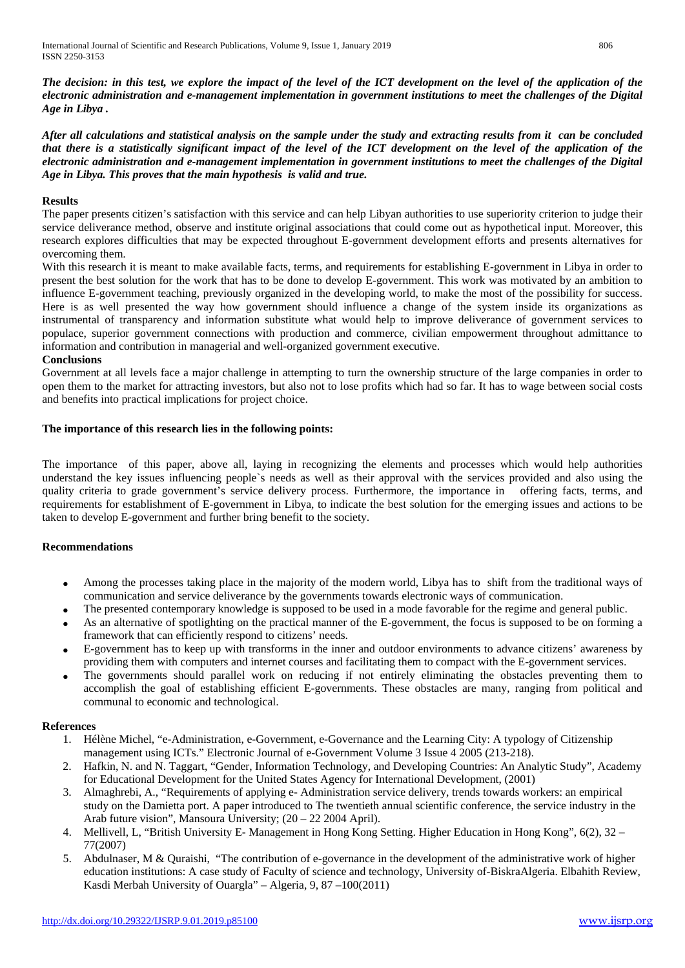*The decision: in this test, we explore the impact of the level of the ICT development on the level of the application of the electronic administration and e-management implementation in government institutions to meet the challenges of the Digital Age in Libya .*

*After all calculations and statistical analysis on the sample under the study and extracting results from it can be concluded that there is a statistically significant impact of the level of the ICT development on the level of the application of the electronic administration and e-management implementation in government institutions to meet the challenges of the Digital Age in Libya. This proves that the main hypothesis is valid and true.*

## **Results**

The paper presents citizen's satisfaction with this service and can help Libyan authorities to use superiority criterion to judge their service deliverance method, observe and institute original associations that could come out as hypothetical input. Moreover, this research explores difficulties that may be expected throughout E-government development efforts and presents alternatives for overcoming them.

With this research it is meant to make available facts, terms, and requirements for establishing E-government in Libya in order to present the best solution for the work that has to be done to develop E-government. This work was motivated by an ambition to influence E-government teaching, previously organized in the developing world, to make the most of the possibility for success. Here is as well presented the way how government should influence a change of the system inside its organizations as instrumental of transparency and information substitute what would help to improve deliverance of government services to populace, superior government connections with production and commerce, civilian empowerment throughout admittance to information and contribution in managerial and well-organized government executive.

## **Conclusions**

Government at all levels face a major challenge in attempting to turn the ownership structure of the large companies in order to open them to the market for attracting investors, but also not to lose profits which had so far. It has to wage between social costs and benefits into practical implications for project choice.

## **The importance of this research lies in the following points:**

The importance of this paper, above all, laying in recognizing the elements and processes which would help authorities understand the key issues influencing people`s needs as well as their approval with the services provided and also using the quality criteria to grade government's service delivery process. Furthermore, the importance in offering facts, terms, and requirements for establishment of E-government in Libya, to indicate the best solution for the emerging issues and actions to be taken to develop E-government and further bring benefit to the society.

## **Recommendations**

- Among the processes taking place in the majority of the modern world, Libya has to shift from the traditional ways of communication and service deliverance by the governments towards electronic ways of communication.
- The presented contemporary knowledge is supposed to be used in a mode favorable for the regime and general public.
- As an alternative of spotlighting on the practical manner of the E-government, the focus is supposed to be on forming a framework that can efficiently respond to citizens' needs.
- E-government has to keep up with transforms in the inner and outdoor environments to advance citizens' awareness by providing them with computers and internet courses and facilitating them to compact with the E-government services.
- The governments should parallel work on reducing if not entirely eliminating the obstacles preventing them to accomplish the goal of establishing efficient E-governments. These obstacles are many, ranging from political and communal to economic and technological.

## **References**

- 1. Hélène Michel, "e-Administration, e-Government, e-Governance and the Learning City: A typology of Citizenship management using ICTs." Electronic Journal of e-Government Volume 3 Issue 4 2005 (213-218).
- 2. Hafkin, N. and N. Taggart, "Gender, Information Technology, and Developing Countries: An Analytic Study", Academy for Educational Development for the United States Agency for International Development, (2001)
- 3. Almaghrebi, A., "Requirements of applying e- Administration service delivery, trends towards workers: an empirical study on the Damietta port. A paper introduced to The twentieth annual scientific conference, the service industry in the Arab future vision", Mansoura University; (20 – 22 2004 April).
- 4. Mellivell, L, "British University E- Management in Hong Kong Setting. Higher Education in Hong Kong", 6(2), 32 77(2007)
- 5. Abdulnaser, M & Quraishi, "The contribution of e-governance in the development of the administrative work of higher education institutions: A case study of Faculty of science and technology, University of-BiskraAlgeria. Elbahith Review, Kasdi Merbah University of Ouargla" – Algeria, 9, 87 –100(2011)